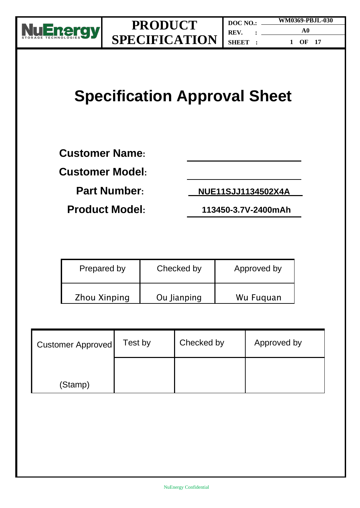

# **Specification Approval Sheet**

**Customer Name:** 

**Customer Model:**

**Part Number: NUE11SJJ1134502X4A**

**Product Model: 113450-3.7V-2400mAh**

| Prepared by         | Checked by  | Approved by |
|---------------------|-------------|-------------|
| <b>Zhou Xinping</b> | Ou Jianping | Wu Fuguan   |

| <b>Customer Approved</b> | Test by | Checked by | Approved by |
|--------------------------|---------|------------|-------------|
| (Stamp)                  |         |            |             |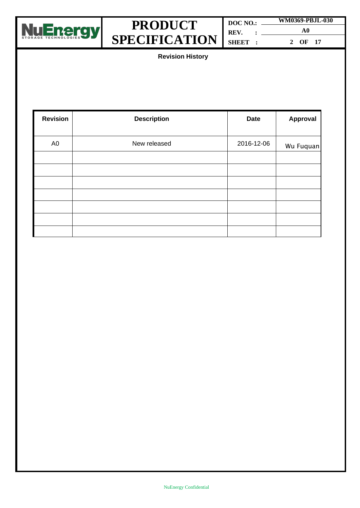

| DOC NO.: | WM0369-PBJL-030 |
|----------|-----------------|
| REV. :   | A0              |
| SHEET :  | 2 OF 17         |

**Revision History**

| <b>Revision</b> | <b>Description</b> | <b>Date</b> | Approval  |
|-----------------|--------------------|-------------|-----------|
| A <sub>0</sub>  | New released       | 2016-12-06  | Wu Fuquan |
|                 |                    |             |           |
|                 |                    |             |           |
|                 |                    |             |           |
|                 |                    |             |           |
|                 |                    |             |           |
|                 |                    |             |           |
|                 |                    |             |           |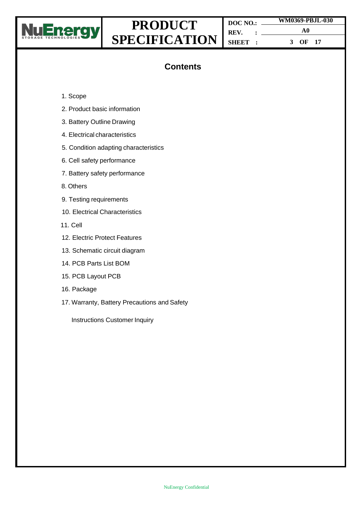

**DOC NO.: REV. : SHEET : WM0369-PBJL-030 A0 3 OF 17**

### **Contents**

- 1. Scope
- 2. Product basic information
- 3. Battery Outline Drawing
- 4. Electrical characteristics
- 5. Condition adapting characteristics
- 6. Cell safety performance
- 7. Battery safety performance
- 8. Others
- 9. Testing requirements
- 10. Electrical Characteristics
- 11. Cell
- 12. Electric Protect Features
- 13. Schematic circuit diagram
- 14. PCB Parts List BOM
- 15. PCB Layout PCB
- 16. Package
- 17. Warranty, Battery Precautions and Safety

Instructions Customer Inquiry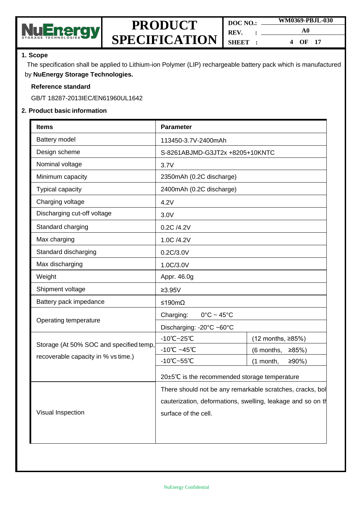

| DOC NO.       | WM0369-PBJL-030       |  |
|---------------|-----------------------|--|
| REV. :        | A0                    |  |
| <b>SHEET:</b> | OF <sub>17</sub><br>4 |  |

#### **1. Scope**

The specification shall be applied to Lithium-ion Polymer (LIP) rechargeable battery pack which is manufactured by **NuEnergy Storage Technologies.**

#### **Reference standard**

GB/T 18287-2013IEC/EN61960UL1642

#### **2. Product basic information**

| Battery model<br>113450-3.7V-2400mAh<br>Design scheme<br>S-8261ABJMD-G3JT2x +8205+10KNTC<br>Nominal voltage<br>3.7V<br>Minimum capacity<br>2350mAh (0.2C discharge)<br>Typical capacity<br>2400mAh (0.2C discharge)<br>Charging voltage<br>4.2V<br>Discharging cut-off voltage<br>3.0V<br>Standard charging<br>0.2C /4.2V<br>Max charging<br>1.0C /4.2V<br>Standard discharging<br>0.2C/3.0V<br>Max discharging<br>1.0C/3.0V<br>Weight<br>Appr. 46.0g<br>Shipment voltage<br>$≥3.95V$<br>Battery pack impedance<br>≤190mΩ<br>Charging:<br>$0^{\circ}$ C ~ 45 $^{\circ}$ C<br>Operating temperature<br>Discharging: -20°C ~60°C<br>-10°C~25°C<br>$(12$ months, ≥85%)<br>Storage (At 50% SOC and specified temp,<br>$-10^{\circ}$ C ~45 $^{\circ}$ C<br>(6 months,<br>≥85%)<br>recoverable capacity in % vs time.)<br>-10°C~55°C<br>(1 month,<br>≥90%<br>20±5℃ is the recommended storage temperature<br>There should not be any remarkable scratches, cracks, bol<br>cauterization, deformations, swelling, leakage and so on th<br>Visual Inspection<br>surface of the cell. | <b>Items</b> | <b>Parameter</b> |  |  |
|------------------------------------------------------------------------------------------------------------------------------------------------------------------------------------------------------------------------------------------------------------------------------------------------------------------------------------------------------------------------------------------------------------------------------------------------------------------------------------------------------------------------------------------------------------------------------------------------------------------------------------------------------------------------------------------------------------------------------------------------------------------------------------------------------------------------------------------------------------------------------------------------------------------------------------------------------------------------------------------------------------------------------------------------------------------------------|--------------|------------------|--|--|
|                                                                                                                                                                                                                                                                                                                                                                                                                                                                                                                                                                                                                                                                                                                                                                                                                                                                                                                                                                                                                                                                              |              |                  |  |  |
|                                                                                                                                                                                                                                                                                                                                                                                                                                                                                                                                                                                                                                                                                                                                                                                                                                                                                                                                                                                                                                                                              |              |                  |  |  |
|                                                                                                                                                                                                                                                                                                                                                                                                                                                                                                                                                                                                                                                                                                                                                                                                                                                                                                                                                                                                                                                                              |              |                  |  |  |
|                                                                                                                                                                                                                                                                                                                                                                                                                                                                                                                                                                                                                                                                                                                                                                                                                                                                                                                                                                                                                                                                              |              |                  |  |  |
|                                                                                                                                                                                                                                                                                                                                                                                                                                                                                                                                                                                                                                                                                                                                                                                                                                                                                                                                                                                                                                                                              |              |                  |  |  |
|                                                                                                                                                                                                                                                                                                                                                                                                                                                                                                                                                                                                                                                                                                                                                                                                                                                                                                                                                                                                                                                                              |              |                  |  |  |
|                                                                                                                                                                                                                                                                                                                                                                                                                                                                                                                                                                                                                                                                                                                                                                                                                                                                                                                                                                                                                                                                              |              |                  |  |  |
|                                                                                                                                                                                                                                                                                                                                                                                                                                                                                                                                                                                                                                                                                                                                                                                                                                                                                                                                                                                                                                                                              |              |                  |  |  |
|                                                                                                                                                                                                                                                                                                                                                                                                                                                                                                                                                                                                                                                                                                                                                                                                                                                                                                                                                                                                                                                                              |              |                  |  |  |
|                                                                                                                                                                                                                                                                                                                                                                                                                                                                                                                                                                                                                                                                                                                                                                                                                                                                                                                                                                                                                                                                              |              |                  |  |  |
|                                                                                                                                                                                                                                                                                                                                                                                                                                                                                                                                                                                                                                                                                                                                                                                                                                                                                                                                                                                                                                                                              |              |                  |  |  |
|                                                                                                                                                                                                                                                                                                                                                                                                                                                                                                                                                                                                                                                                                                                                                                                                                                                                                                                                                                                                                                                                              |              |                  |  |  |
|                                                                                                                                                                                                                                                                                                                                                                                                                                                                                                                                                                                                                                                                                                                                                                                                                                                                                                                                                                                                                                                                              |              |                  |  |  |
|                                                                                                                                                                                                                                                                                                                                                                                                                                                                                                                                                                                                                                                                                                                                                                                                                                                                                                                                                                                                                                                                              |              |                  |  |  |
|                                                                                                                                                                                                                                                                                                                                                                                                                                                                                                                                                                                                                                                                                                                                                                                                                                                                                                                                                                                                                                                                              |              |                  |  |  |
|                                                                                                                                                                                                                                                                                                                                                                                                                                                                                                                                                                                                                                                                                                                                                                                                                                                                                                                                                                                                                                                                              |              |                  |  |  |
|                                                                                                                                                                                                                                                                                                                                                                                                                                                                                                                                                                                                                                                                                                                                                                                                                                                                                                                                                                                                                                                                              |              |                  |  |  |
|                                                                                                                                                                                                                                                                                                                                                                                                                                                                                                                                                                                                                                                                                                                                                                                                                                                                                                                                                                                                                                                                              |              |                  |  |  |
|                                                                                                                                                                                                                                                                                                                                                                                                                                                                                                                                                                                                                                                                                                                                                                                                                                                                                                                                                                                                                                                                              |              |                  |  |  |
|                                                                                                                                                                                                                                                                                                                                                                                                                                                                                                                                                                                                                                                                                                                                                                                                                                                                                                                                                                                                                                                                              |              |                  |  |  |
|                                                                                                                                                                                                                                                                                                                                                                                                                                                                                                                                                                                                                                                                                                                                                                                                                                                                                                                                                                                                                                                                              |              |                  |  |  |
|                                                                                                                                                                                                                                                                                                                                                                                                                                                                                                                                                                                                                                                                                                                                                                                                                                                                                                                                                                                                                                                                              |              |                  |  |  |
|                                                                                                                                                                                                                                                                                                                                                                                                                                                                                                                                                                                                                                                                                                                                                                                                                                                                                                                                                                                                                                                                              |              |                  |  |  |
|                                                                                                                                                                                                                                                                                                                                                                                                                                                                                                                                                                                                                                                                                                                                                                                                                                                                                                                                                                                                                                                                              |              |                  |  |  |
|                                                                                                                                                                                                                                                                                                                                                                                                                                                                                                                                                                                                                                                                                                                                                                                                                                                                                                                                                                                                                                                                              |              |                  |  |  |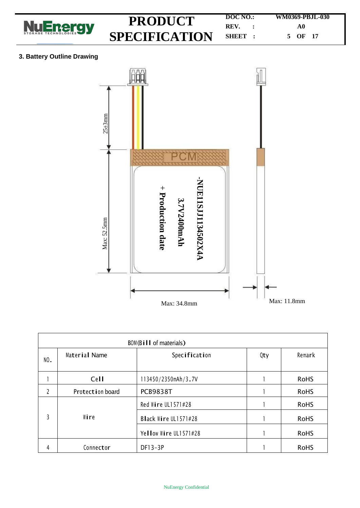

#### **3. Battery Outline Drawing**



| BOM(Bill of materials) |                  |                       |     |             |  |
|------------------------|------------------|-----------------------|-----|-------------|--|
| NO.                    | Material Name    | Specification         | Qty | Remark      |  |
|                        | Cell             | 113450/2350mAh/3.7V   |     | <b>RoHS</b> |  |
| $\mathcal{P}$          | Protection board | <b>PCB9838T</b>       |     | <b>RoHS</b> |  |
|                        |                  | Red Wire UL1571#28    |     | <b>RoHS</b> |  |
| 3                      | Wire             | Black Wire UL1571#28  |     | <b>RoHS</b> |  |
|                        |                  | Yellow Wire UL1571#28 |     | <b>RoHS</b> |  |
| 4                      | Connector        | DF13-3P               |     | <b>RoHS</b> |  |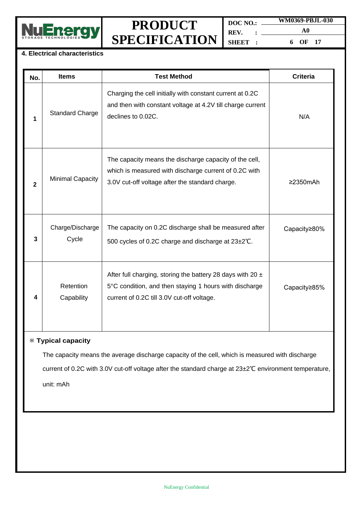

**DOC NO.: REV. : SHEET : WM0369-PBJL-030 A0 6 OF 17**

### **4. Electrical characteristics**

| No.          | <b>Items</b>              | <b>Test Method</b>                                                                                                                                                     | <b>Criteria</b> |
|--------------|---------------------------|------------------------------------------------------------------------------------------------------------------------------------------------------------------------|-----------------|
| 1            | <b>Standard Charge</b>    | Charging the cell initially with constant current at 0.2C<br>and then with constant voltage at 4.2V till charge current<br>declines to 0.02C.                          | N/A             |
| $\mathbf{2}$ | <b>Minimal Capacity</b>   | The capacity means the discharge capacity of the cell,<br>which is measured with discharge current of 0.2C with<br>3.0V cut-off voltage after the standard charge.     | $\geq$ 2350mAh  |
| 3            | Charge/Discharge<br>Cycle | The capacity on 0.2C discharge shall be measured after<br>500 cycles of 0.2C charge and discharge at 23±2°C.                                                           | Capacity≥80%    |
| 4            | Retention<br>Capability   | After full charging, storing the battery 28 days with 20 $\pm$<br>5°C condition, and then staying 1 hours with discharge<br>current of 0.2C till 3.0V cut-off voltage. | Capacity≥85%    |

#### ※ **Typical capacity**

The capacity means the average discharge capacity of the cell, which is measured with discharge current of 0.2C with 3.0V cut-off voltage after the standard charge at 23±2℃ environment temperature, unit: mAh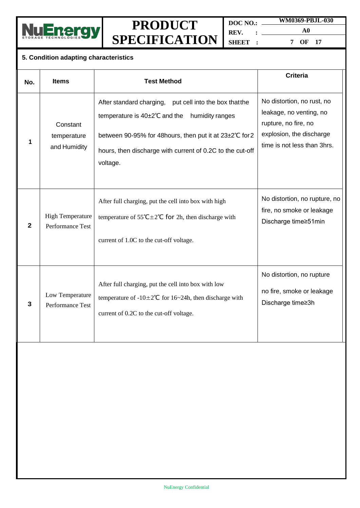

**DOC NO.: REV. : SHEET :**

**A0 7 OF 17**

**WM0369-PBJL-030**

### **5. Condition adapting characteristics**

| No. | <b>Items</b>                                | <b>Test Method</b>                                                                                                                                                                                                                                 | <b>Criteria</b>                                                                                                                          |
|-----|---------------------------------------------|----------------------------------------------------------------------------------------------------------------------------------------------------------------------------------------------------------------------------------------------------|------------------------------------------------------------------------------------------------------------------------------------------|
| 1   | Constant<br>temperature<br>and Humidity     | After standard charging,<br>put cell into the box that the<br>temperature is 40±2°C and the<br>humidity ranges<br>between 90-95% for 48hours, then put it at 23±2°C for 2<br>hours, then discharge with current of 0.2C to the cut-off<br>voltage. | No distortion, no rust, no<br>leakage, no venting, no<br>rupture, no fire, no<br>explosion, the discharge<br>time is not less than 3hrs. |
| 2   | <b>High Temperature</b><br>Performance Test | After full charging, put the cell into box with high<br>temperature of $55^{\circ}C \pm 2^{\circ}C$ for 2h, then discharge with<br>current of 1.0C to the cut-off voltage.                                                                         | No distortion, no rupture, no<br>fire, no smoke or leakage<br>Discharge time≥51min                                                       |
| 3   | Low Temperature<br>Performance Test         | After full charging, put the cell into box with low<br>temperature of $-10 \pm 2^{\circ}C$ for 16~24h, then discharge with<br>current of 0.2C to the cut-off voltage.                                                                              | No distortion, no rupture<br>no fire, smoke or leakage<br>Discharge time≥3h                                                              |
|     |                                             |                                                                                                                                                                                                                                                    |                                                                                                                                          |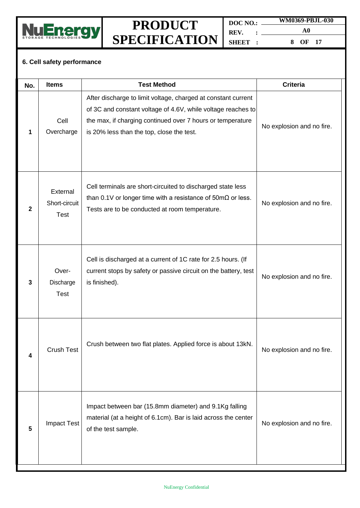

**DOC NO.: REV. : SHEET : WM0369-PBJL-030 A0**

**8 OF 17**

### **6. Cell safety performance**

| No.          | <b>Items</b>                             | <b>Test Method</b>                                                                                                                                                                                                                       | <b>Criteria</b>           |
|--------------|------------------------------------------|------------------------------------------------------------------------------------------------------------------------------------------------------------------------------------------------------------------------------------------|---------------------------|
| 1            | Cell<br>Overcharge                       | After discharge to limit voltage, charged at constant current<br>of 3C and constant voltage of 4.6V, while voltage reaches to<br>the max, if charging continued over 7 hours or temperature<br>is 20% less than the top, close the test. | No explosion and no fire. |
| $\mathbf{2}$ | External<br>Short-circuit<br><b>Test</b> | Cell terminals are short-circuited to discharged state less<br>than 0.1V or longer time with a resistance of $50 \text{m}\Omega$ or less.<br>Tests are to be conducted at room temperature.                                              | No explosion and no fire. |
| 3            | Over-<br>Discharge<br><b>Test</b>        | Cell is discharged at a current of 1C rate for 2.5 hours. (If<br>current stops by safety or passive circuit on the battery, test<br>is finished).                                                                                        | No explosion and no fire. |
| 4            | <b>Crush Test</b>                        | Crush between two flat plates. Applied force is about 13kN.                                                                                                                                                                              | No explosion and no fire. |
| 5            | <b>Impact Test</b>                       | Impact between bar (15.8mm diameter) and 9.1Kg falling<br>material (at a height of 6.1cm). Bar is laid across the center<br>of the test sample.                                                                                          | No explosion and no fire. |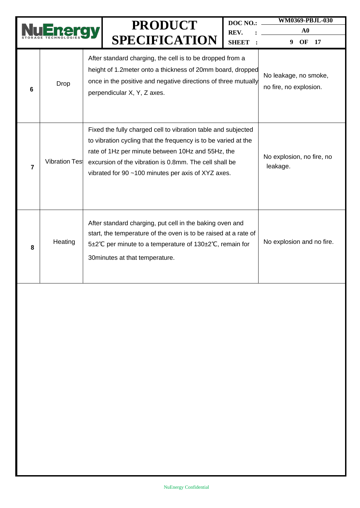|                |                       | <b>PRODUCT</b><br><b>SPECIFICATION</b>                                                                                                                                                                                                                                                               | DOC NO.:<br>REV.<br><b>SHEET</b> | <b>WM0369-PBJL-030</b><br>${\bf A0}$<br>OF<br>9<br>17 |
|----------------|-----------------------|------------------------------------------------------------------------------------------------------------------------------------------------------------------------------------------------------------------------------------------------------------------------------------------------------|----------------------------------|-------------------------------------------------------|
| 6              | Drop                  | After standard charging, the cell is to be dropped from a<br>height of 1.2 meter onto a thickness of 20mm board, dropped<br>once in the positive and negative directions of three mutually<br>perpendicular X, Y, Z axes.                                                                            |                                  | No leakage, no smoke,<br>no fire, no explosion.       |
| $\overline{7}$ | <b>Vibration Test</b> | Fixed the fully charged cell to vibration table and subjected<br>to vibration cycling that the frequency is to be varied at the<br>rate of 1Hz per minute between 10Hz and 55Hz, the<br>excursion of the vibration is 0.8mm. The cell shall be<br>vibrated for 90 ~100 minutes per axis of XYZ axes. |                                  | No explosion, no fire, no<br>leakage.                 |
| 8              | Heating               | After standard charging, put cell in the baking oven and<br>start, the temperature of the oven is to be raised at a rate of<br>5±2°C per minute to a temperature of 130±2°C, remain for<br>30 minutes at that temperature.                                                                           |                                  | No explosion and no fire.                             |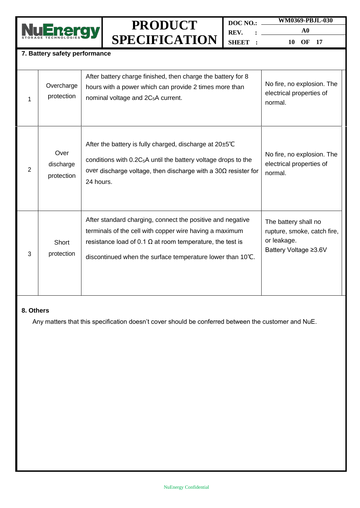

**DOC NO.: REV. : SHEET : WM0369-PBJL-030**

**A0**

**10 OF 17**

#### **7. Battery safety performance**

| 1              | Overcharge<br>protection        | After battery charge finished, then charge the battery for 8<br>hours with a power which can provide 2 times more than<br>nominal voltage and 2C <sub>5</sub> A current.                                                                                | No fire, no explosion. The<br>electrical properties of<br>normal.                           |
|----------------|---------------------------------|---------------------------------------------------------------------------------------------------------------------------------------------------------------------------------------------------------------------------------------------------------|---------------------------------------------------------------------------------------------|
| $\overline{2}$ | Over<br>discharge<br>protection | After the battery is fully charged, discharge at $20\pm5^{\circ}C$<br>conditions with $0.2C_5A$ until the battery voltage drops to the<br>over discharge voltage, then discharge with a $30\Omega$ resister for<br>24 hours.                            | No fire, no explosion. The<br>electrical properties of<br>normal.                           |
| 3              | Short<br>protection             | After standard charging, connect the positive and negative<br>terminals of the cell with copper wire having a maximum<br>resistance load of 0.1 $\Omega$ at room temperature, the test is<br>discontinued when the surface temperature lower than 10°C. | The battery shall no<br>rupture, smoke, catch fire,<br>or leakage.<br>Battery Voltage ≥3.6V |

#### **8. Others**

Any matters that this specification doesn't cover should be conferred between the customer and NuE.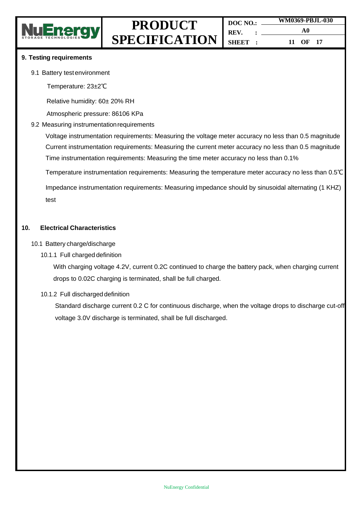

#### **9. Testing requirements**

- 9.1 Battery testenvironment
	- Temperature: 23±2℃

Relative humidity: 60± 20% RH

Atmospheric pressure: 86106 KPa

#### 9.2 Measuring instrumentation requirements

Voltage instrumentation requirements: Measuring the voltage meter accuracy no less than 0.5 magnitude Current instrumentation requirements: Measuring the current meter accuracy no less than 0.5 magnitude Time instrumentation requirements: Measuring the time meter accuracy no less than 0.1%

Temperature instrumentation requirements: Measuring the temperature meter accuracy no less than 0.5℃

Impedance instrumentation requirements: Measuring impedance should by sinusoidal alternating (1 KHZ) test

#### **10. Electrical Characteristics**

#### 10.1 Battery charge/discharge

10.1.1 Full charged definition

With charging voltage 4.2V, current 0.2C continued to charge the battery pack, when charging current drops to 0.02C charging is terminated, shall be full charged.

#### 10.1.2 Full discharged definition

Standard discharge current 0.2 C for continuous discharge, when the voltage drops to discharge cut-off voltage 3.0V discharge is terminated, shall be full discharged.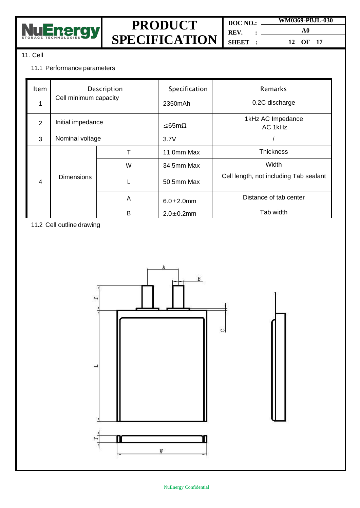

**DOC NO.: REV. : SHEET : WM0369-PBJL-030 A0 12 OF 17**

#### 11. Cell

#### 11.1 Performance parameters

| Item           | Description           |   | Specification    | Remarks                                |
|----------------|-----------------------|---|------------------|----------------------------------------|
|                | Cell minimum capacity |   | 2350mAh          | 0.2C discharge                         |
| $\overline{2}$ | Initial impedance     |   | ≤65mΩ            | 1kHz AC Impedance<br>AC 1kHz           |
| 3              | Nominal voltage       |   | 3.7V             |                                        |
| 4              | <b>Dimensions</b>     |   | 11.0mm Max       | <b>Thickness</b>                       |
|                |                       | W | 34.5mm Max       | Width                                  |
|                |                       |   | 50.5mm Max       | Cell length, not including Tab sealant |
|                |                       | A | $6.0 \pm 2.0$ mm | Distance of tab center                 |
|                |                       | B | $2.0 \pm 0.2$ mm | Tab width                              |

11.2 Cell outline drawing

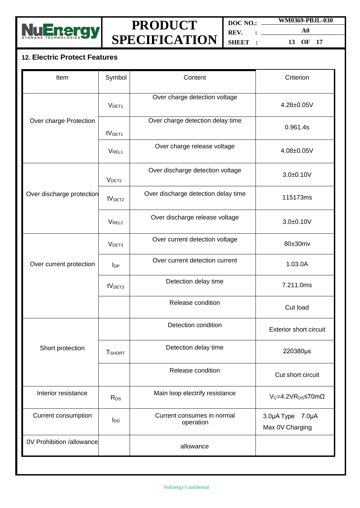

**DOC NO.: REV. : SHEET : WM0369-PBJL-030**

**A0 13 OF 17**

### **12. Electric Protect Features**

| Item                      | Symbol             | Content                                 | Criterion                           |
|---------------------------|--------------------|-----------------------------------------|-------------------------------------|
|                           | V <sub>DET1</sub>  | Over charge detection voltage           | 4.28±0.05V                          |
| Over charge Protection    | tV <sub>DET1</sub> | Over charge detection delay time        | 0.961.4s                            |
|                           | V <sub>REL1</sub>  | Over charge release voltage             | 4.08±0.05V                          |
|                           | V <sub>DET2</sub>  | Over discharge detection voltage        | $3.0 + 0.10V$                       |
| Over discharge protection | tV <sub>DET2</sub> | Over discharge detection delay time     | 115173ms                            |
|                           | V <sub>REL2</sub>  | Over discharge release voltage          | $3.0 + 0.10V$                       |
|                           | V <sub>DET3</sub>  | Over current detection voltage          | 80±30mv                             |
| Over current protection   | $I_{DP}$           | Over current detection current          | 1.03.0A                             |
|                           | tV <sub>DET3</sub> | Detection delay time                    | 7.211.0ms                           |
|                           |                    | Release condition                       | Cut load                            |
|                           |                    | Detection condition                     | <b>Exterior short circuit</b>       |
| Short protection          | <b>T</b> SHORT     | Detection delay time                    | 220380µs                            |
|                           |                    | Release condition                       | Cut short circuit                   |
| Interior resistance       | $R_{DS}$           | Main loop electrify resistance          | $V_c = 4.2 VR_{DS} \le 70 m\Omega$  |
| Current consumption       | $I_{DD}$           | Current consumes in normal<br>operation | 3.0µA Type 7.0µA<br>Max 0V Charging |
| 0V Prohibition /allowance |                    | allowance                               |                                     |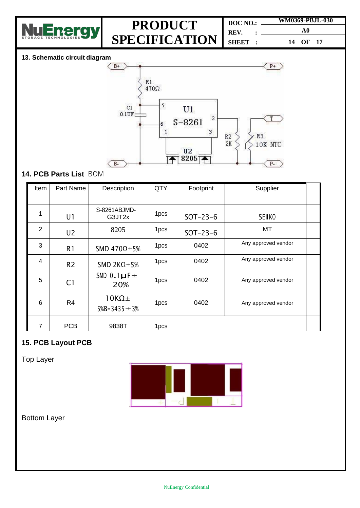

| $DOC NO.$ :    | WM0369-PBJL-030 |  |  |
|----------------|-----------------|--|--|
| REV.           | A0              |  |  |
| <b>SHEET :</b> | 14 OF 17        |  |  |

### **13. Schematic circuit diagram**



### **14. PCB Parts List** BOM

| Item           | Part Name      | Description                            | <b>QTY</b>       | Footprint  | Supplier            |  |
|----------------|----------------|----------------------------------------|------------------|------------|---------------------|--|
| 1              | U1             | S-8261ABJMD-<br>G3JT2x                 | 1 <sub>pcs</sub> | $SOT-23-6$ | SEI <sub>K0</sub>   |  |
| $\overline{2}$ | U <sub>2</sub> | 8205                                   | 1pcs             | $SOT-23-6$ | MT                  |  |
| 3              | R <sub>1</sub> | SMD 470 $\Omega$ ±5%                   | 1pcs             | 0402       | Any approved vendor |  |
| 4              | R <sub>2</sub> | SMD 2K $\Omega$ ±5%                    | 1 <sub>pcs</sub> | 0402       | Any approved vendor |  |
| 5              | C <sub>1</sub> | SMD $0.1\mu$ F $\pm$<br>20%            | 1pcs             | 0402       | Any approved vendor |  |
| 6              | R4             | $10K\Omega$ ±<br>$5\%B = 3435 \pm 3\%$ | 1pcs             | 0402       | Any approved vendor |  |
| 7              | <b>PCB</b>     | 9838T                                  | 1pcs             |            |                     |  |

### **15. PCB Layout PCB**

Top Layer



Bottom Layer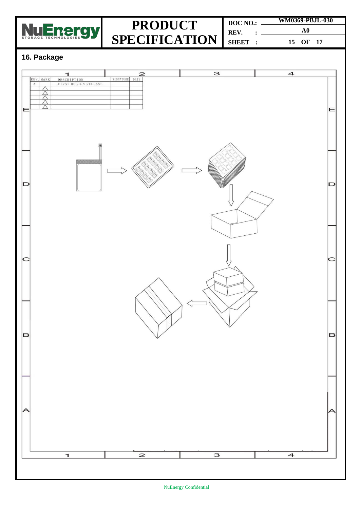

**DOC NO.: REV. : SHEET : WM0369-PBJL-030 A0 15 OF 17**

### **16. Package**

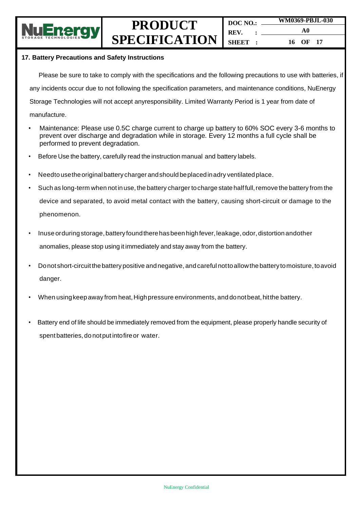

**DOC NO.: REV. : SHEET : WM0369-PBJL-030 A0 16 OF 17**

#### **17. Battery Precautions and Safety Instructions**

Please be sure to take to comply with the specifications and the following precautions to use with batteries, if any incidents occur due to not following the specification parameters, and maintenance conditions, NuEnergy Storage Technologies will not accept anyresponsibility. Limited Warranty Period is 1 year from date of manufacture.

- Maintenance: Please use 0.5C charge current to charge up battery to 60% SOC every 3-6 months to prevent over discharge and degradation while in storage. Every 12 months a full cycle shall be performed to prevent degradation.
- Before Use the battery, carefully read the instruction manual and battery labels.
- Needto use the original battery charger and should be placed in adry ventilated place.
- Such as long-term when not in use, the battery charger to charge state half full, remove the battery from the device and separated, to avoid metal contact with the battery, causing short-circuit or damage to the phenomenon.
- Inuse orduring storage, battery found there has been high fever, leakage, odor, distortion andother anomalies, please stop using it immediately and stay away from the battery.
- Donot short-circuitthebattery positive andnegative, andcareful nottoallowthe battery tomoisture, toavoid danger.
- When using keep away from heat, High pressure environments, and donot beat, hit the battery.
- Battery end of life should be immediately removed from the equipment, please properly handle security of spent batteries, do not put into fire or water.